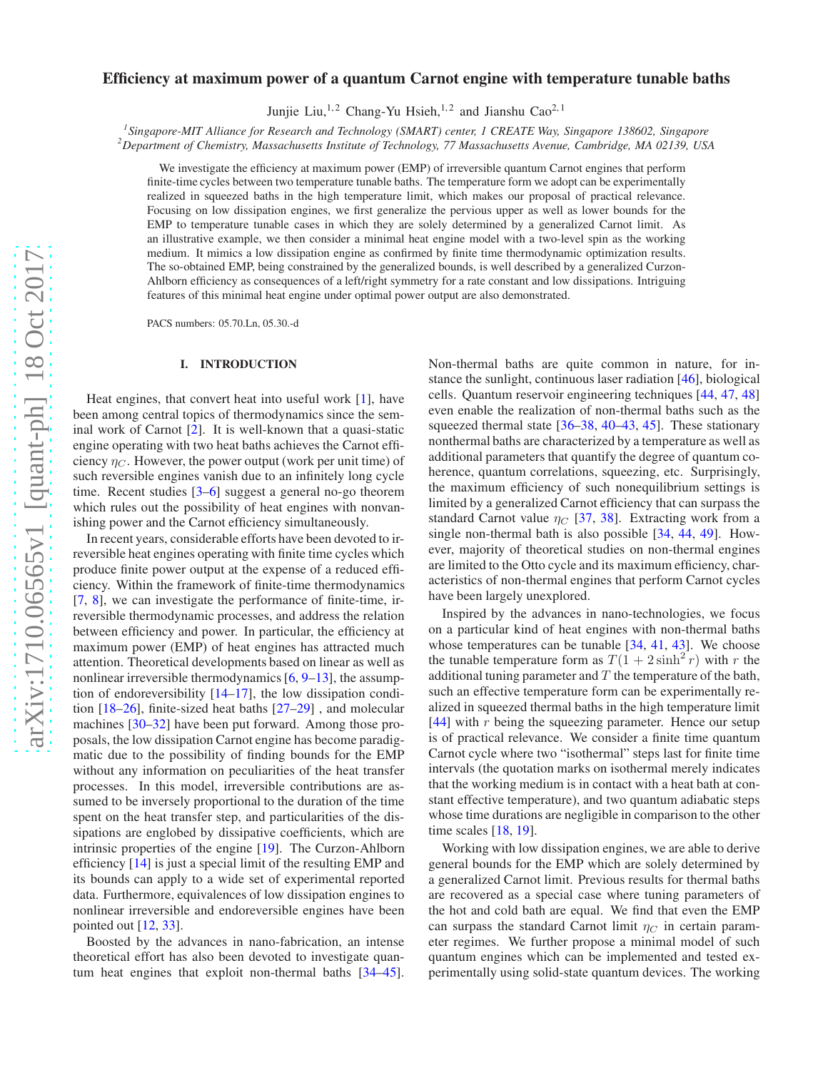# arXiv:1710.06565v1 [quant-ph] 18 Oct 2017 [arXiv:1710.06565v1 \[quant-ph\] 18 Oct 2017](http://arxiv.org/abs/1710.06565v1)

# Efficiency at maximum power of a quantum Carnot engine with temperature tunable baths

Junjie Liu,<sup>1,2</sup> Chang-Yu Hsieh,<sup>1,2</sup> and Jianshu Cao<sup>2,1</sup>

*1 Singapore-MIT Alliance for Research and Technology (SMART) center, 1 CREATE Way, Singapore 138602, Singapore*

*<sup>2</sup>Department of Chemistry, Massachusetts Institute of Technology, 77 Massachusetts Avenue, Cambridge, MA 02139, USA*

We investigate the efficiency at maximum power (EMP) of irreversible quantum Carnot engines that perform finite-time cycles between two temperature tunable baths. The temperature form we adopt can be experimentally realized in squeezed baths in the high temperature limit, which makes our proposal of practical relevance. Focusing on low dissipation engines, we first generalize the pervious upper as well as lower bounds for the EMP to temperature tunable cases in which they are solely determined by a generalized Carnot limit. As an illustrative example, we then consider a minimal heat engine model with a two-level spin as the working medium. It mimics a low dissipation engine as confirmed by finite time thermodynamic optimization results. The so-obtained EMP, being constrained by the generalized bounds, is well described by a generalized Curzon-Ahlborn efficiency as consequences of a left/right symmetry for a rate constant and low dissipations. Intriguing features of this minimal heat engine under optimal power output are also demonstrated.

PACS numbers: 05.70.Ln, 05.30.-d

# I. INTRODUCTION

Heat engines, that convert heat into useful work [\[1](#page-5-0)], have been among central topics of thermodynamics since the seminal work of Carnot [\[2](#page-5-1)]. It is well-known that a quasi-static engine operating with two heat baths achieves the Carnot efficiency  $\eta_C$ . However, the power output (work per unit time) of such reversible engines vanish due to an infinitely long cycle time. Recent studies [\[3](#page-5-2)[–6\]](#page-5-3) suggest a general no-go theorem which rules out the possibility of heat engines with nonvanishing power and the Carnot efficiency simultaneously.

In recent years, considerable efforts have been devoted to irreversible heat engines operating with finite time cycles which produce finite power output at the expense of a reduced efficiency. Within the framework of finite-time thermodynamics [\[7](#page-5-4), [8](#page-5-5)], we can investigate the performance of finite-time, irreversible thermodynamic processes, and address the relation between efficiency and power. In particular, the efficiency at maximum power (EMP) of heat engines has attracted much attention. Theoretical developments based on linear as well as nonlinear irreversible thermodynamics [\[6,](#page-5-3) [9](#page-5-6)[–13](#page-5-7)], the assumption of endoreversibility  $[14–17]$  $[14–17]$ , the low dissipation condition [\[18](#page-5-10)[–26\]](#page-5-11), finite-sized heat baths [\[27](#page-5-12)[–29\]](#page-5-13) , and molecular machines [\[30](#page-5-14)[–32\]](#page-5-15) have been put forward. Among those proposals, the low dissipation Carnot engine has become paradigmatic due to the possibility of finding bounds for the EMP without any information on peculiarities of the heat transfer processes. In this model, irreversible contributions are assumed to be inversely proportional to the duration of the time spent on the heat transfer step, and particularities of the dissipations are englobed by dissipative coefficients, which are intrinsic properties of the engine [\[19](#page-5-16)]. The Curzon-Ahlborn efficiency [\[14\]](#page-5-8) is just a special limit of the resulting EMP and its bounds can apply to a wide set of experimental reported data. Furthermore, equivalences of low dissipation engines to nonlinear irreversible and endoreversible engines have been pointed out  $[12, 33]$  $[12, 33]$ .

Boosted by the advances in nano-fabrication, an intense theoretical effort has also been devoted to investigate quantum heat engines that exploit non-thermal baths [\[34](#page-5-19)[–45](#page-5-20)].

Non-thermal baths are quite common in nature, for instance the sunlight, continuous laser radiation [\[46](#page-5-21)], biological cells. Quantum reservoir engineering techniques [\[44](#page-5-22), [47,](#page-5-23) [48\]](#page-5-24) even enable the realization of non-thermal baths such as the squeezed thermal state [\[36](#page-5-25)[–38,](#page-5-26) [40](#page-5-27)[–43,](#page-5-28) [45\]](#page-5-20). These stationary nonthermal baths are characterized by a temperature as well as additional parameters that quantify the degree of quantum coherence, quantum correlations, squeezing, etc. Surprisingly, the maximum efficiency of such nonequilibrium settings is limited by a generalized Carnot efficiency that can surpass the standard Carnot value  $\eta_C$  [\[37](#page-5-29), [38](#page-5-26)]. Extracting work from a single non-thermal bath is also possible [\[34](#page-5-19), [44,](#page-5-22) [49\]](#page-5-30). However, majority of theoretical studies on non-thermal engines are limited to the Otto cycle and its maximum efficiency, characteristics of non-thermal engines that perform Carnot cycles have been largely unexplored.

Inspired by the advances in nano-technologies, we focus on a particular kind of heat engines with non-thermal baths whose temperatures can be tunable  $[34, 41, 43]$  $[34, 41, 43]$  $[34, 41, 43]$  $[34, 41, 43]$  $[34, 41, 43]$  $[34, 41, 43]$ . We choose the tunable temperature form as  $T(1 + 2\sinh^2 r)$  with r the additional tuning parameter and  $T$  the temperature of the bath, such an effective temperature form can be experimentally realized in squeezed thermal baths in the high temperature limit [\[44](#page-5-22)] with r being the squeezing parameter. Hence our setup is of practical relevance. We consider a finite time quantum Carnot cycle where two "isothermal" steps last for finite time intervals (the quotation marks on isothermal merely indicates that the working medium is in contact with a heat bath at constant effective temperature), and two quantum adiabatic steps whose time durations are negligible in comparison to the other time scales [\[18,](#page-5-10) [19\]](#page-5-16).

Working with low dissipation engines, we are able to derive general bounds for the EMP which are solely determined by a generalized Carnot limit. Previous results for thermal baths are recovered as a special case where tuning parameters of the hot and cold bath are equal. We find that even the EMP can surpass the standard Carnot limit  $\eta_C$  in certain parameter regimes. We further propose a minimal model of such quantum engines which can be implemented and tested experimentally using solid-state quantum devices. The working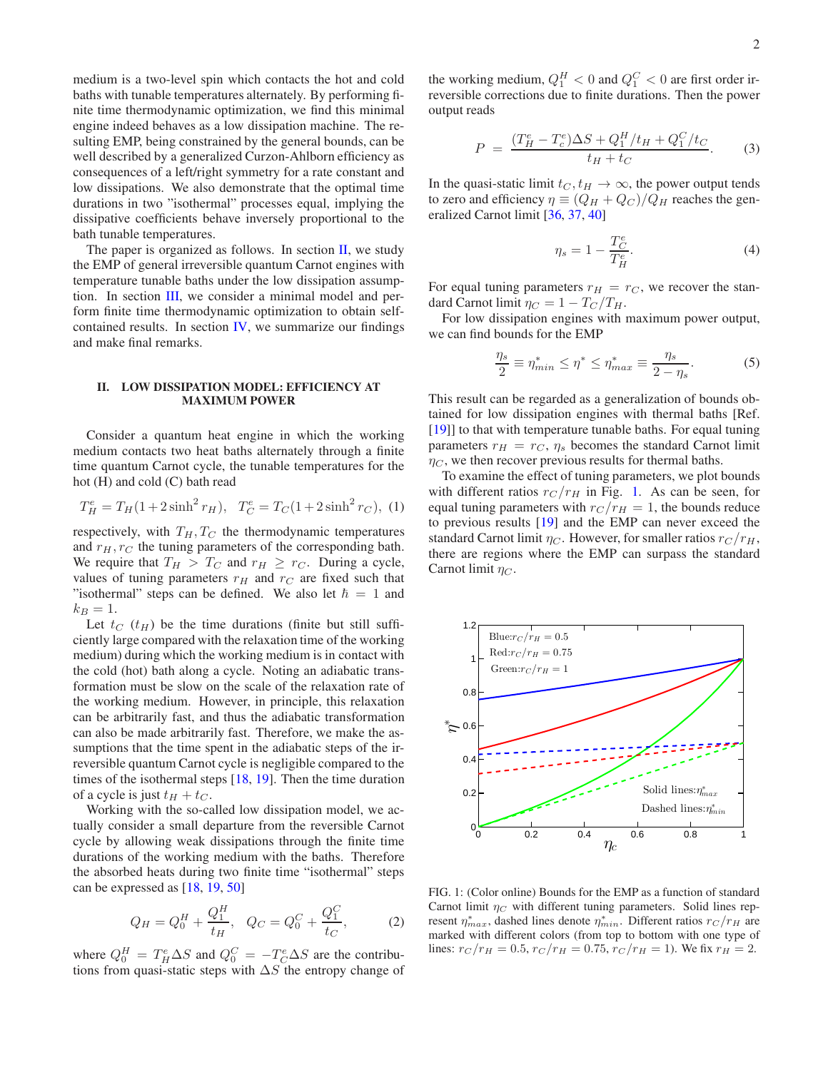medium is a two-level spin which contacts the hot and cold baths with tunable temperatures alternately. By performing finite time thermodynamic optimization, we find this minimal engine indeed behaves as a low dissipation machine. The resulting EMP, being constrained by the general bounds, can be well described by a generalized Curzon-Ahlborn efficiency as consequences of a left/right symmetry for a rate constant and low dissipations. We also demonstrate that the optimal time durations in two "isothermal" processes equal, implying the dissipative coefficients behave inversely proportional to the bath tunable temperatures.

The paper is organized as follows. In section  $II$ , we study the EMP of general irreversible quantum Carnot engines with temperature tunable baths under the low dissipation assumption. In section [III,](#page-2-0) we consider a minimal model and perform finite time thermodynamic optimization to obtain selfcontained results. In section [IV,](#page-4-0) we summarize our findings and make final remarks.

# <span id="page-1-0"></span>II. LOW DISSIPATION MODEL: EFFICIENCY AT MAXIMUM POWER

Consider a quantum heat engine in which the working medium contacts two heat baths alternately through a finite time quantum Carnot cycle, the tunable temperatures for the hot (H) and cold (C) bath read

$$
T_H^e = T_H(1 + 2\sinh^2 r_H), \quad T_C^e = T_C(1 + 2\sinh^2 r_C), \tag{1}
$$

respectively, with  $T_H, T_C$  the thermodynamic temperatures and  $r_H, r_C$  the tuning parameters of the corresponding bath. We require that  $T_H > T_C$  and  $r_H \ge r_C$ . During a cycle, values of tuning parameters  $r_H$  and  $r_C$  are fixed such that "isothermal" steps can be defined. We also let  $\hbar = 1$  and  $k_B = 1$ .

Let  $t_C$  ( $t_H$ ) be the time durations (finite but still sufficiently large compared with the relaxation time of the working medium) during which the working medium is in contact with the cold (hot) bath along a cycle. Noting an adiabatic transformation must be slow on the scale of the relaxation rate of the working medium. However, in principle, this relaxation can be arbitrarily fast, and thus the adiabatic transformation can also be made arbitrarily fast. Therefore, we make the assumptions that the time spent in the adiabatic steps of the irreversible quantum Carnot cycle is negligible compared to the times of the isothermal steps  $[18, 19]$  $[18, 19]$ . Then the time duration of a cycle is just  $t_H + t_C$ .

Working with the so-called low dissipation model, we actually consider a small departure from the reversible Carnot cycle by allowing weak dissipations through the finite time durations of the working medium with the baths. Therefore the absorbed heats during two finite time "isothermal" steps can be expressed as [\[18,](#page-5-10) [19,](#page-5-16) [50\]](#page-5-32)

<span id="page-1-2"></span>
$$
Q_H = Q_0^H + \frac{Q_1^H}{t_H}, \quad Q_C = Q_0^C + \frac{Q_1^C}{t_C}, \tag{2}
$$

where  $Q_0^H = T_H^e \Delta S$  and  $Q_0^C = -T_C^e \Delta S$  are the contributions from quasi-static steps with  $\Delta S$  the entropy change of

the working medium,  $Q_1^H < 0$  and  $Q_1^C < 0$  are first order irreversible corrections due to finite durations. Then the power output reads

$$
P = \frac{(T_H^e - T_c^e)\Delta S + Q_1^H/t_H + Q_1^C/t_C}{t_H + t_C}.
$$
 (3)

In the quasi-static limit  $t_C, t_H \rightarrow \infty$ , the power output tends to zero and efficiency  $\eta \equiv (Q_H + Q_C)/Q_H$  reaches the generalized Carnot limit [\[36](#page-5-25), [37](#page-5-29), [40](#page-5-27)]

<span id="page-1-4"></span>
$$
\eta_s = 1 - \frac{T_C^e}{T_H^e}.\tag{4}
$$

For equal tuning parameters  $r_H = r_C$ , we recover the standard Carnot limit  $\eta_C = 1 - T_C/T_H$ .

For low dissipation engines with maximum power output, we can find bounds for the EMP

<span id="page-1-3"></span>
$$
\frac{\eta_s}{2} \equiv \eta_{min}^* \le \eta^* \le \eta_{max}^* \equiv \frac{\eta_s}{2 - \eta_s}.\tag{5}
$$

This result can be regarded as a generalization of bounds obtained for low dissipation engines with thermal baths [Ref. [\[19](#page-5-16)]] to that with temperature tunable baths. For equal tuning parameters  $r_H = r_C$ ,  $\eta_s$  becomes the standard Carnot limit  $\eta_C$ , we then recover previous results for thermal baths.

To examine the effect of tuning parameters, we plot bounds with different ratios  $r_C / r_H$  in Fig. [1.](#page-1-1) As can be seen, for equal tuning parameters with  $r_C / r_H = 1$ , the bounds reduce to previous results [\[19\]](#page-5-16) and the EMP can never exceed the standard Carnot limit  $\eta_C$ . However, for smaller ratios  $r_C/r_H$ , there are regions where the EMP can surpass the standard Carnot limit  $\eta_C$ .



<span id="page-1-1"></span>FIG. 1: (Color online) Bounds for the EMP as a function of standard Carnot limit  $\eta_C$  with different tuning parameters. Solid lines represent  $\eta_{max}^*$ , dashed lines denote  $\eta_{min}^*$ . Different ratios  $r_C/r_H$  are marked with different colors (from top to bottom with one type of lines:  $r_C/r_H = 0.5$ ,  $r_C/r_H = 0.75$ ,  $r_C/r_H = 1$ ). We fix  $r_H = 2$ .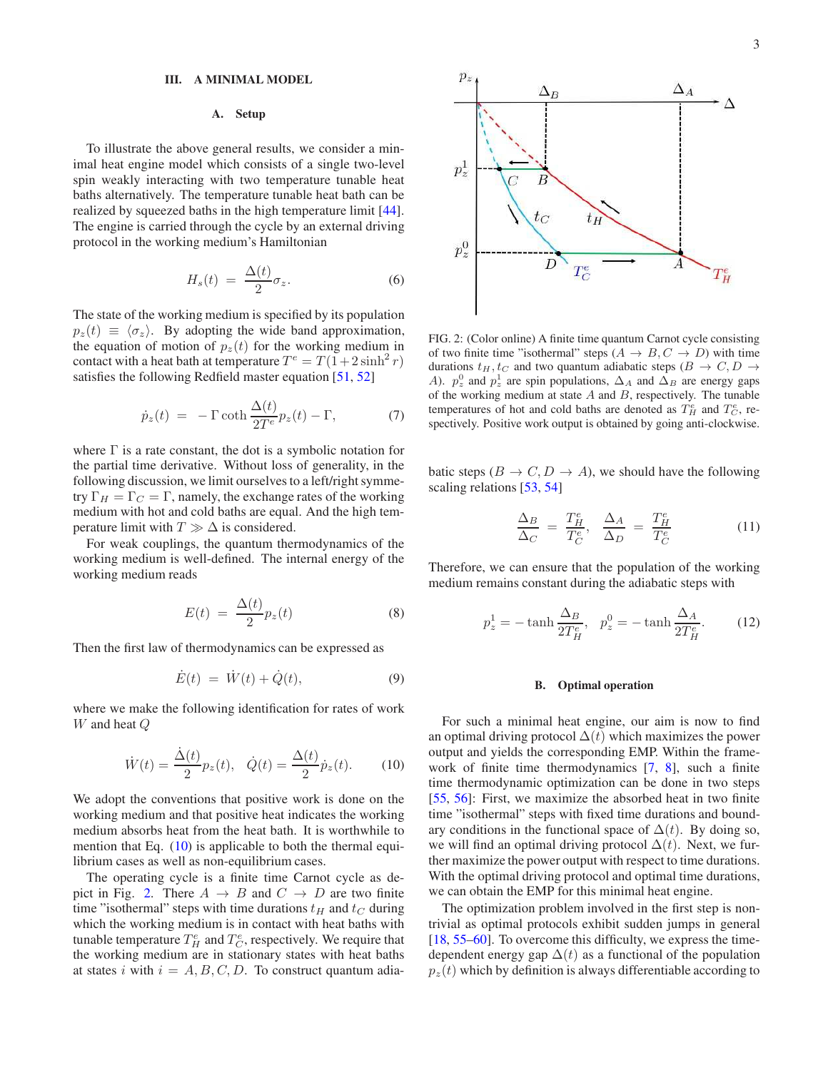### <span id="page-2-0"></span>III. A MINIMAL MODEL

# A. Setup

To illustrate the above general results, we consider a minimal heat engine model which consists of a single two-level spin weakly interacting with two temperature tunable heat baths alternatively. The temperature tunable heat bath can be realized by squeezed baths in the high temperature limit [\[44](#page-5-22)]. The engine is carried through the cycle by an external driving protocol in the working medium's Hamiltonian

$$
H_s(t) = \frac{\Delta(t)}{2} \sigma_z.
$$
 (6)

The state of the working medium is specified by its population  $p_z(t) \equiv \langle \sigma_z \rangle$ . By adopting the wide band approximation, the equation of motion of  $p_z(t)$  for the working medium in contact with a heat bath at temperature  $T^e = T(1+2\sinh^2 r)$ satisfies the following Redfield master equation [\[51](#page-5-33), [52](#page-5-34)]

<span id="page-2-3"></span>
$$
\dot{p}_z(t) = -\Gamma \coth \frac{\Delta(t)}{2T^e} p_z(t) - \Gamma, \tag{7}
$$

where  $\Gamma$  is a rate constant, the dot is a symbolic notation for the partial time derivative. Without loss of generality, in the following discussion, we limit ourselves to a left/right symmetry  $\Gamma_H = \Gamma_C = \Gamma$ , namely, the exchange rates of the working medium with hot and cold baths are equal. And the high temperature limit with  $T \gg \Delta$  is considered.

For weak couplings, the quantum thermodynamics of the working medium is well-defined. The internal energy of the working medium reads

$$
E(t) = \frac{\Delta(t)}{2} p_z(t) \tag{8}
$$

Then the first law of thermodynamics can be expressed as

$$
\dot{E}(t) = \dot{W}(t) + \dot{Q}(t), \tag{9}
$$

where we make the following identification for rates of work W and heat Q

<span id="page-2-1"></span>
$$
\dot{W}(t) = \frac{\dot{\Delta}(t)}{2} p_z(t), \quad \dot{Q}(t) = \frac{\Delta(t)}{2} \dot{p}_z(t). \tag{10}
$$

We adopt the conventions that positive work is done on the working medium and that positive heat indicates the working medium absorbs heat from the heat bath. It is worthwhile to mention that Eq. [\(10\)](#page-2-1) is applicable to both the thermal equilibrium cases as well as non-equilibrium cases.

The operating cycle is a finite time Carnot cycle as de-pict in Fig. [2.](#page-2-2) There  $A \rightarrow B$  and  $C \rightarrow D$  are two finite time "isothermal" steps with time durations  $t_H$  and  $t_C$  during which the working medium is in contact with heat baths with tunable temperature  $T_H^e$  and  $T_C^e$ , respectively. We require that the working medium are in stationary states with heat baths at states i with  $i = A, B, C, D$ . To construct quantum adia-



<span id="page-2-2"></span>FIG. 2: (Color online) A finite time quantum Carnot cycle consisting of two finite time "isothermal" steps  $(A \rightarrow B, C \rightarrow D)$  with time durations  $t_H, t_C$  and two quantum adiabatic steps  $(B \to C, D \to C)$ A).  $p_z^0$  and  $p_z^1$  are spin populations,  $\Delta_A$  and  $\Delta_B$  are energy gaps of the working medium at state  $A$  and  $B$ , respectively. The tunable temperatures of hot and cold baths are denoted as  $T_H^e$  and  $T_C^e$ , respectively. Positive work output is obtained by going anti-clockwise.

batic steps ( $B \to C, D \to A$ ), we should have the following scaling relations [\[53,](#page-5-35) [54\]](#page-5-36)

$$
\frac{\Delta_B}{\Delta_C} = \frac{T_H^e}{T_C^e}, \quad \frac{\Delta_A}{\Delta_D} = \frac{T_H^e}{T_C^e} \tag{11}
$$

Therefore, we can ensure that the population of the working medium remains constant during the adiabatic steps with

<span id="page-2-4"></span>
$$
p_z^1 = -\tanh\frac{\Delta_B}{2T_H^e}, \quad p_z^0 = -\tanh\frac{\Delta_A}{2T_H^e}.\tag{12}
$$

### B. Optimal operation

For such a minimal heat engine, our aim is now to find an optimal driving protocol  $\Delta(t)$  which maximizes the power output and yields the corresponding EMP. Within the framework of finite time thermodynamics [\[7](#page-5-4), [8](#page-5-5)], such a finite time thermodynamic optimization can be done in two steps [\[55](#page-5-37), [56\]](#page-5-38): First, we maximize the absorbed heat in two finite time "isothermal" steps with fixed time durations and boundary conditions in the functional space of  $\Delta(t)$ . By doing so, we will find an optimal driving protocol  $\Delta(t)$ . Next, we further maximize the power output with respect to time durations. With the optimal driving protocol and optimal time durations, we can obtain the EMP for this minimal heat engine.

The optimization problem involved in the first step is nontrivial as optimal protocols exhibit sudden jumps in general [\[18](#page-5-10), [55](#page-5-37)[–60](#page-5-39)]. To overcome this difficulty, we express the timedependent energy gap  $\Delta(t)$  as a functional of the population  $p_z(t)$  which by definition is always differentiable according to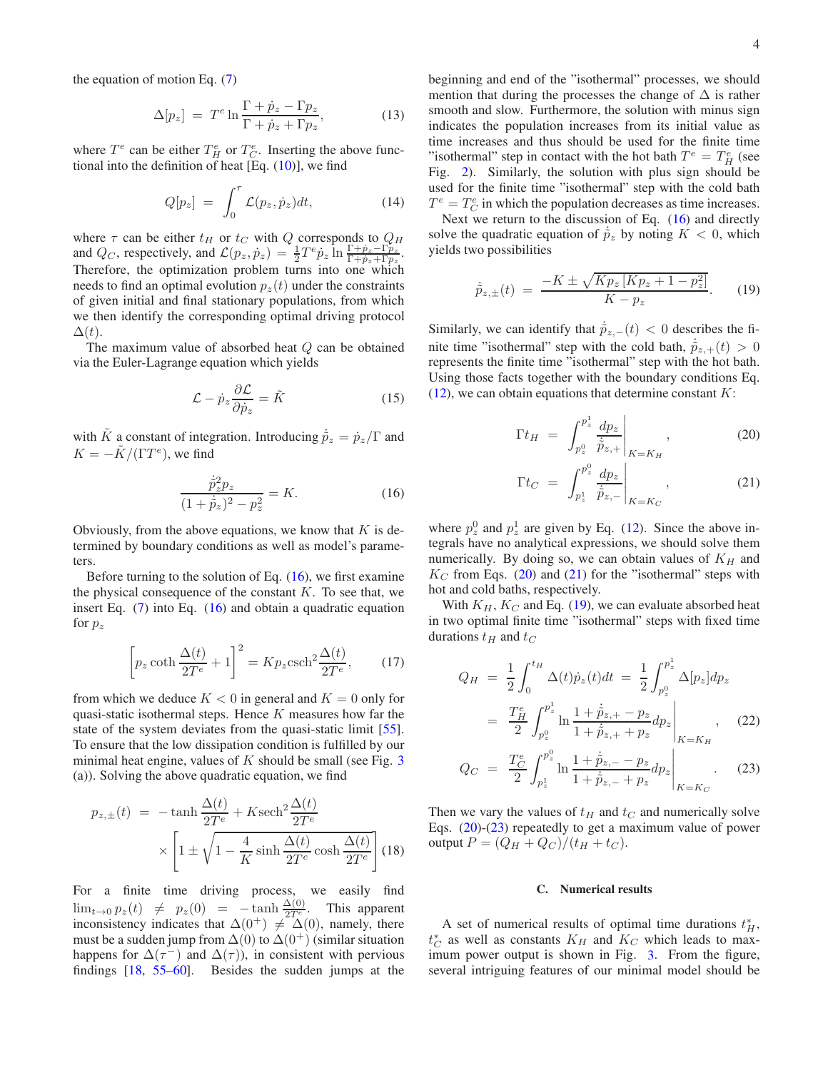4

the equation of motion Eq. [\(7\)](#page-2-3)

$$
\Delta[p_z] = T^e \ln \frac{\Gamma + \dot{p}_z - \Gamma p_z}{\Gamma + \dot{p}_z + \Gamma p_z},\tag{13}
$$

where  $T^e$  can be either  $T^e$  or  $T^e$ . Inserting the above functional into the definition of heat  $[Eq. (10)]$  $[Eq. (10)]$  $[Eq. (10)]$ , we find

$$
Q[p_z] = \int_0^\tau \mathcal{L}(p_z, \dot{p}_z) dt, \tag{14}
$$

where  $\tau$  can be either  $t_H$  or  $t_C$  with Q corresponds to  $Q_H$ and  $Q_C$ , respectively, and  $\mathcal{L}(p_z, p_z) = \frac{1}{2} T^e p_z \ln \frac{\Gamma + \dot{p}_z - \Gamma_{pz}^2}{\Gamma + \dot{p}_z + \Gamma_{pz}}$ . Therefore, the optimization problem turns into one which needs to find an optimal evolution  $p_z(t)$  under the constraints of given initial and final stationary populations, from which we then identify the corresponding optimal driving protocol  $\Delta(t)$ .

The maximum value of absorbed heat  $Q$  can be obtained via the Euler-Lagrange equation which yields

$$
\mathcal{L} - \dot{p}_z \frac{\partial \mathcal{L}}{\partial \dot{p}_z} = \tilde{K}
$$
 (15)

with  $\tilde{K}$  a constant of integration. Introducing  $\dot{\tilde{p}}_z = \dot{p}_z/\Gamma$  and  $K = -\tilde{K}/(\Gamma T^e)$ , we find

<span id="page-3-0"></span>
$$
\frac{\dot{\tilde{p}}_z^2 p_z}{(1+\dot{\tilde{p}}_z)^2 - p_z^2} = K.
$$
 (16)

Obviously, from the above equations, we know that  $K$  is determined by boundary conditions as well as model's parameters.

Before turning to the solution of Eq.  $(16)$ , we first examine the physical consequence of the constant  $K$ . To see that, we insert Eq. [\(7\)](#page-2-3) into Eq. [\(16\)](#page-3-0) and obtain a quadratic equation for  $p_z$ 

$$
\left[ p_z \coth \frac{\Delta(t)}{2T^e} + 1 \right]^2 = K p_z \operatorname{csch}^2 \frac{\Delta(t)}{2T^e},\qquad(17)
$$

from which we deduce  $K < 0$  in general and  $K = 0$  only for quasi-static isothermal steps. Hence  $K$  measures how far the state of the system deviates from the quasi-static limit [\[55](#page-5-37)]. To ensure that the low dissipation condition is fulfilled by our minimal heat engine, values of  $K$  should be small (see Fig. [3](#page-4-1)) (a)). Solving the above quadratic equation, we find

$$
p_{z,\pm}(t) = -\tanh\frac{\Delta(t)}{2T^e} + K \operatorname{sech}^2 \frac{\Delta(t)}{2T^e}
$$

$$
\times \left[1 \pm \sqrt{1 - \frac{4}{K} \sinh\frac{\Delta(t)}{2T^e} \cosh\frac{\Delta(t)}{2T^e}}\right] (18)
$$

For a finite time driving process, we easily find  $\lim_{t\to 0} p_z(t) \neq p_z(0) = -\tanh \frac{\Delta(0)}{2T_e}$ . This apparent inconsistency indicates that  $\Delta(0^+) \neq \Delta(0)$ , namely, there must be a sudden jump from  $\Delta(0)$  to  $\Delta(0^+)$  (similar situation happens for  $\Delta(\tau^{-})$  and  $\Delta(\tau)$ ), in consistent with pervious findings [\[18](#page-5-10), [55](#page-5-37)[–60\]](#page-5-39). Besides the sudden jumps at the

beginning and end of the "isothermal" processes, we should mention that during the processes the change of  $\Delta$  is rather smooth and slow. Furthermore, the solution with minus sign indicates the population increases from its initial value as time increases and thus should be used for the finite time "isothermal" step in contact with the hot bath  $T^e = T^e_H$  (see Fig. [2\)](#page-2-2). Similarly, the solution with plus sign should be used for the finite time "isothermal" step with the cold bath  $T^e=T_C^e$  in which the population decreases as time increases.

Next we return to the discussion of Eq.  $(16)$  and directly solve the quadratic equation of  $\dot{\tilde{p}}_z$  by noting  $K < 0$ , which yields two possibilities

<span id="page-3-2"></span>
$$
\dot{\tilde{p}}_{z,\pm}(t) = \frac{-K \pm \sqrt{K p_z \left[K p_z + 1 - p_z^2\right]}}{K - p_z}.
$$
 (19)

Similarly, we can identify that  $\dot{\tilde{p}}_{z,-}(t) < 0$  describes the finite time "isothermal" step with the cold bath,  $\dot{\tilde{p}}_{z,+}(t) > 0$ represents the finite time "isothermal" step with the hot bath. Using those facts together with the boundary conditions Eq.  $(12)$ , we can obtain equations that determine constant K:

<span id="page-3-1"></span>
$$
\Gamma t_H = \left. \int_{p_z^0}^{p_z^1} \frac{dp_z}{\dot{\tilde{p}}_{z,+}} \right|_{K=K_H}, \tag{20}
$$

$$
\Gamma t_C = \left. \int_{p_z^1}^{p_z^0} \frac{dp_z}{\dot{\tilde{p}}_{z,-}} \right|_{K=K_C},\tag{21}
$$

where  $p_z^0$  and  $p_z^1$  are given by Eq. [\(12\)](#page-2-4). Since the above integrals have no analytical expressions, we should solve them numerically. By doing so, we can obtain values of  $K_H$  and  $K_C$  from Eqs. [\(20\)](#page-3-1) and [\(21\)](#page-3-1) for the "isothermal" steps with hot and cold baths, respectively.

With  $K_H$ ,  $K_C$  and Eq. [\(19\)](#page-3-2), we can evaluate absorbed heat in two optimal finite time "isothermal" steps with fixed time durations  $t_H$  and  $t_C$ 

<span id="page-3-3"></span>
$$
Q_H = \frac{1}{2} \int_0^{t_H} \Delta(t) \dot{p}_z(t) dt = \frac{1}{2} \int_{p_2^0}^{p_z^1} \Delta[p_z] dp_z
$$
  
= 
$$
\frac{T_H^e}{2} \int_{p_2^0}^{p_z^1} \ln \frac{1 + \dot{p}_{z,+} - p_z}{1 + \dot{p}_{z,+} + p_z} dp_z \Big|_{K = K_H}, \quad (22)
$$

$$
Q_C = \left. \frac{T_C^e}{2} \int_{p_z^1}^{p_z^0} \ln \frac{1 + \dot{\tilde{p}}_{z,-} - p_z}{1 + \dot{\tilde{p}}_{z,-} + p_z} dp_z \right|_{K = K_C} . \tag{23}
$$

Then we vary the values of  $t_H$  and  $t_C$  and numerically solve Eqs. [\(20\)](#page-3-1)-[\(23\)](#page-3-3) repeatedly to get a maximum value of power output  $P = (Q_H + Q_C)/(t_H + t_C)$ .

# C. Numerical results

A set of numerical results of optimal time durations  $t_H^*$ ,  $t_C^*$  as well as constants  $K_H$  and  $K_C$  which leads to maximum power output is shown in Fig. [3.](#page-4-1) From the figure, several intriguing features of our minimal model should be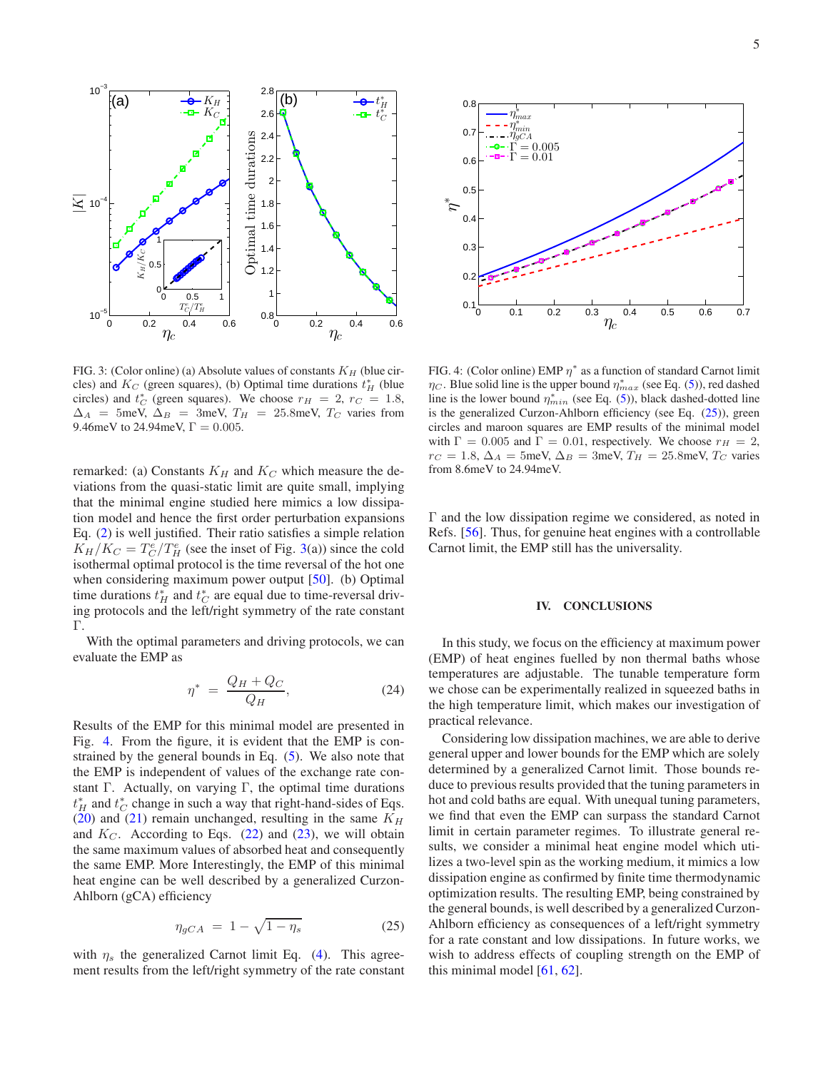

<span id="page-4-1"></span>FIG. 3: (Color online) (a) Absolute values of constants  $K_H$  (blue circles) and  $K_C$  (green squares), (b) Optimal time durations  $t_H^*$  (blue circles) and  $t_C^*$  (green squares). We choose  $r_H = 2$ ,  $r_C = 1.8$ ,  $\Delta_A$  = 5meV,  $\Delta_B$  = 3meV,  $T_H$  = 25.8meV,  $T_C$  varies from 9.46meV to 24.94meV,  $\Gamma = 0.005$ .

remarked: (a) Constants  $K_H$  and  $K_C$  which measure the deviations from the quasi-static limit are quite small, implying that the minimal engine studied here mimics a low dissipation model and hence the first order perturbation expansions Eq. [\(2\)](#page-1-2) is well justified. Their ratio satisfies a simple relation  $K_H/K_C = T_C^e/T_H^e$  (see the inset of Fig. [3\(](#page-4-1)a)) since the cold isothermal optimal protocol is the time reversal of the hot one when considering maximum power output [\[50](#page-5-32)]. (b) Optimal time durations  $t_H^*$  and  $t_C^*$  are equal due to time-reversal driving protocols and the left/right symmetry of the rate constant Γ.

With the optimal parameters and driving protocols, we can evaluate the EMP as

$$
\eta^* = \frac{Q_H + Q_C}{Q_H},\tag{24}
$$

Results of the EMP for this minimal model are presented in Fig. [4.](#page-4-2) From the figure, it is evident that the EMP is constrained by the general bounds in Eq. [\(5\)](#page-1-3). We also note that the EMP is independent of values of the exchange rate constant Γ. Actually, on varying Γ, the optimal time durations  $t_H^*$  and  $t_C^*$  change in such a way that right-hand-sides of Eqs. [\(20\)](#page-3-1) and [\(21\)](#page-3-1) remain unchanged, resulting in the same  $K_H$ and  $K_C$ . According to Eqs. [\(22\)](#page-3-3) and [\(23\)](#page-3-3), we will obtain the same maximum values of absorbed heat and consequently the same EMP. More Interestingly, the EMP of this minimal heat engine can be well described by a generalized Curzon-Ahlborn (gCA) efficiency

<span id="page-4-3"></span>
$$
\eta_{gCA} = 1 - \sqrt{1 - \eta_s} \tag{25}
$$

with  $\eta_s$  the generalized Carnot limit Eq. [\(4\)](#page-1-4). This agreement results from the left/right symmetry of the rate constant



<span id="page-4-2"></span>FIG. 4: (Color online) EMP  $\eta^*$  as a function of standard Carnot limit  $\eta_C$ . Blue solid line is the upper bound  $\eta_{max}^*$  (see Eq. [\(5\)](#page-1-3)), red dashed line is the lower bound  $\eta_{min}^*$  (see Eq. [\(5\)](#page-1-3)), black dashed-dotted line is the generalized Curzon-Ahlborn efficiency (see Eq. [\(25\)](#page-4-3)), green circles and maroon squares are EMP results of the minimal model with  $\Gamma = 0.005$  and  $\Gamma = 0.01$ , respectively. We choose  $r_H = 2$ ,  $r_C = 1.8$ ,  $\Delta_A = 5$ meV,  $\Delta_B = 3$ meV,  $T_H = 25.8$ meV,  $T_C$  varies from 8.6meV to 24.94meV.

Γ and the low dissipation regime we considered, as noted in Refs. [\[56](#page-5-38)]. Thus, for genuine heat engines with a controllable Carnot limit, the EMP still has the universality.

### <span id="page-4-0"></span>IV. CONCLUSIONS

In this study, we focus on the efficiency at maximum power (EMP) of heat engines fuelled by non thermal baths whose temperatures are adjustable. The tunable temperature form we chose can be experimentally realized in squeezed baths in the high temperature limit, which makes our investigation of practical relevance.

Considering low dissipation machines, we are able to derive general upper and lower bounds for the EMP which are solely determined by a generalized Carnot limit. Those bounds reduce to previous results provided that the tuning parameters in hot and cold baths are equal. With unequal tuning parameters, we find that even the EMP can surpass the standard Carnot limit in certain parameter regimes. To illustrate general results, we consider a minimal heat engine model which utilizes a two-level spin as the working medium, it mimics a low dissipation engine as confirmed by finite time thermodynamic optimization results. The resulting EMP, being constrained by the general bounds, is well described by a generalized Curzon-Ahlborn efficiency as consequences of a left/right symmetry for a rate constant and low dissipations. In future works, we wish to address effects of coupling strength on the EMP of this minimal model [\[61](#page-5-40), [62](#page-5-41)].